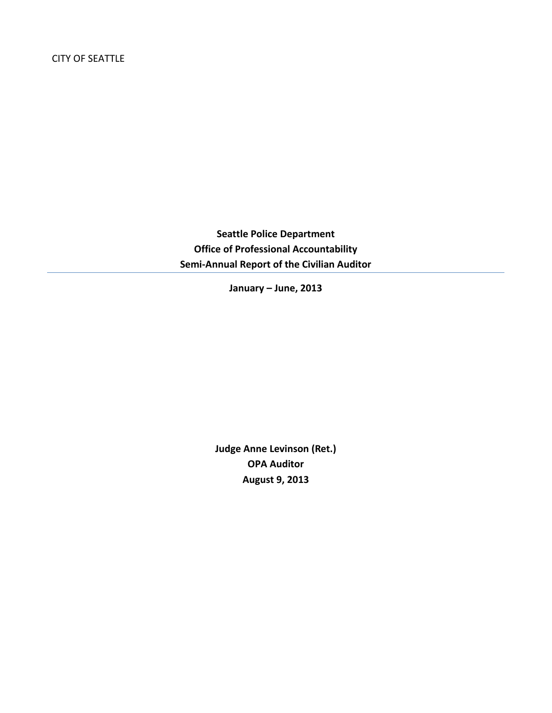**Seattle Police Department Office of Professional Accountability Semi-Annual Report of the Civilian Auditor**

**January – June, 2013**

**Judge Anne Levinson (Ret.) OPA Auditor August 9, 2013**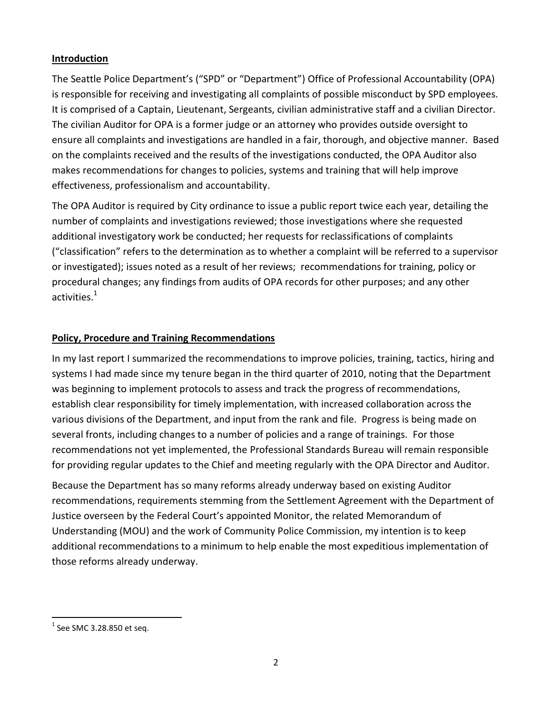## **Introduction**

The Seattle Police Department's ("SPD" or "Department") Office of Professional Accountability (OPA) is responsible for receiving and investigating all complaints of possible misconduct by SPD employees. It is comprised of a Captain, Lieutenant, Sergeants, civilian administrative staff and a civilian Director. The civilian Auditor for OPA is a former judge or an attorney who provides outside oversight to ensure all complaints and investigations are handled in a fair, thorough, and objective manner. Based on the complaints received and the results of the investigations conducted, the OPA Auditor also makes recommendations for changes to policies, systems and training that will help improve effectiveness, professionalism and accountability.

The OPA Auditor is required by City ordinance to issue a public report twice each year, detailing the number of complaints and investigations reviewed; those investigations where she requested additional investigatory work be conducted; her requests for reclassifications of complaints ("classification" refers to the determination as to whether a complaint will be referred to a supervisor or investigated); issues noted as a result of her reviews; recommendations for training, policy or procedural changes; any findings from audits of OPA records for other purposes; and any other activities.<sup>1</sup>

# **Policy, Procedure and Training Recommendations**

In my last report I summarized the recommendations to improve policies, training, tactics, hiring and systems I had made since my tenure began in the third quarter of 2010, noting that the Department was beginning to implement protocols to assess and track the progress of recommendations, establish clear responsibility for timely implementation, with increased collaboration across the various divisions of the Department, and input from the rank and file. Progress is being made on several fronts, including changes to a number of policies and a range of trainings. For those recommendations not yet implemented, the Professional Standards Bureau will remain responsible for providing regular updates to the Chief and meeting regularly with the OPA Director and Auditor.

Because the Department has so many reforms already underway based on existing Auditor recommendations, requirements stemming from the Settlement Agreement with the Department of Justice overseen by the Federal Court's appointed Monitor, the related Memorandum of Understanding (MOU) and the work of Community Police Commission, my intention is to keep additional recommendations to a minimum to help enable the most expeditious implementation of those reforms already underway.

 $<sup>1</sup>$  See SMC 3.28.850 et seq.</sup>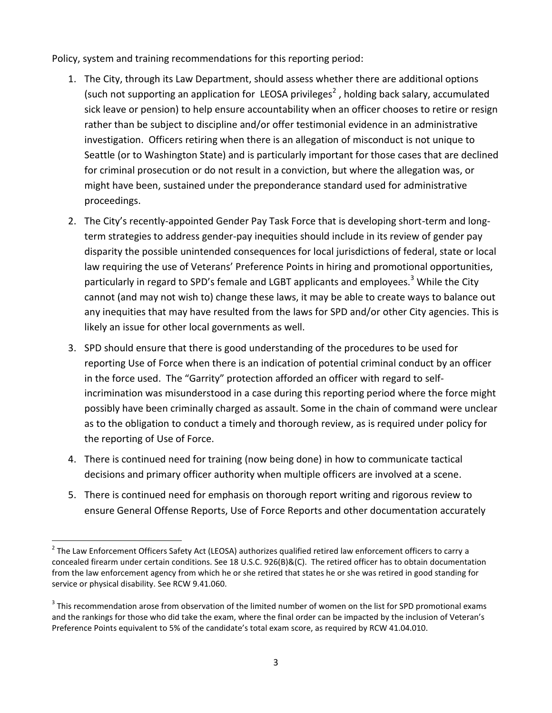Policy, system and training recommendations for this reporting period:

- 1. The City, through its Law Department, should assess whether there are additional options (such not supporting an application for LEOSA privileges<sup>2</sup>, holding back salary, accumulated sick leave or pension) to help ensure accountability when an officer chooses to retire or resign rather than be subject to discipline and/or offer testimonial evidence in an administrative investigation. Officers retiring when there is an allegation of misconduct is not unique to Seattle (or to Washington State) and is particularly important for those cases that are declined for criminal prosecution or do not result in a conviction, but where the allegation was, or might have been, sustained under the preponderance standard used for administrative proceedings.
- 2. The City's recently-appointed Gender Pay Task Force that is developing short-term and longterm strategies to address gender-pay inequities should include in its review of gender pay disparity the possible unintended consequences for local jurisdictions of federal, state or local law requiring the use of Veterans' Preference Points in hiring and promotional opportunities, particularly in regard to SPD's female and LGBT applicants and employees.<sup>3</sup> While the City cannot (and may not wish to) change these laws, it may be able to create ways to balance out any inequities that may have resulted from the laws for SPD and/or other City agencies. This is likely an issue for other local governments as well.
- 3. SPD should ensure that there is good understanding of the procedures to be used for reporting Use of Force when there is an indication of potential criminal conduct by an officer in the force used. The "Garrity" protection afforded an officer with regard to selfincrimination was misunderstood in a case during this reporting period where the force might possibly have been criminally charged as assault. Some in the chain of command were unclear as to the obligation to conduct a timely and thorough review, as is required under policy for the reporting of Use of Force.
- 4. There is continued need for training (now being done) in how to communicate tactical decisions and primary officer authority when multiple officers are involved at a scene.
- 5. There is continued need for emphasis on thorough report writing and rigorous review to ensure General Offense Reports, Use of Force Reports and other documentation accurately

 $\overline{a}$  $^2$  The Law Enforcement Officers Safety Act (LEOSA) authorizes qualified retired law enforcement officers to carry a concealed firearm under certain conditions. See 18 U.S.C. 926(B)&(C). The retired officer has to obtain documentation from the law enforcement agency from which he or she retired that states he or she was retired in good standing for service or physical disability. See RCW 9.41.060.

 $3$  This recommendation arose from observation of the limited number of women on the list for SPD promotional exams and the rankings for those who did take the exam, where the final order can be impacted by the inclusion of Veteran's Preference Points equivalent to 5% of the candidate's total exam score, as required by RCW 41.04.010.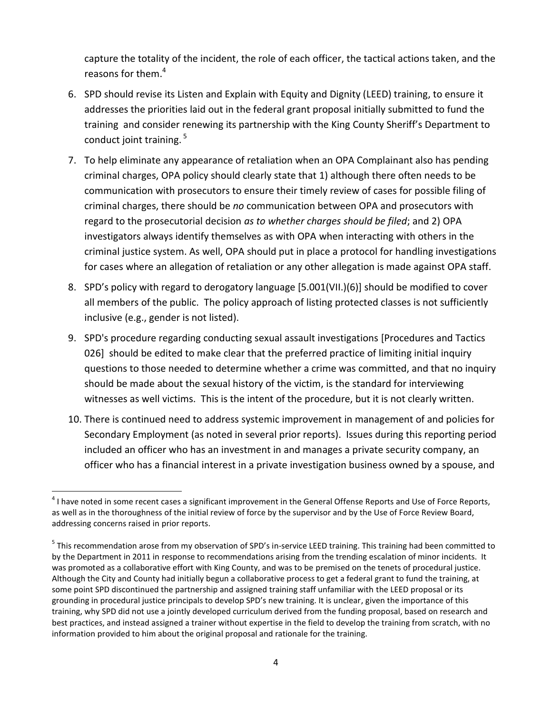capture the totality of the incident, the role of each officer, the tactical actions taken, and the reasons for them.<sup>4</sup>

- 6. SPD should revise its Listen and Explain with Equity and Dignity (LEED) training, to ensure it addresses the priorities laid out in the federal grant proposal initially submitted to fund the training and consider renewing its partnership with the King County Sheriff's Department to conduct joint training. <sup>5</sup>
- 7. To help eliminate any appearance of retaliation when an OPA Complainant also has pending criminal charges, OPA policy should clearly state that 1) although there often needs to be communication with prosecutors to ensure their timely review of cases for possible filing of criminal charges, there should be *no* communication between OPA and prosecutors with regard to the prosecutorial decision *as to whether charges should be filed*; and 2) OPA investigators always identify themselves as with OPA when interacting with others in the criminal justice system. As well, OPA should put in place a protocol for handling investigations for cases where an allegation of retaliation or any other allegation is made against OPA staff.
- 8. SPD's policy with regard to derogatory language [5.001(VII.)(6)] should be modified to cover all members of the public. The policy approach of listing protected classes is not sufficiently inclusive (e.g., gender is not listed).
- 9. SPD's procedure regarding conducting sexual assault investigations [Procedures and Tactics 026] should be edited to make clear that the preferred practice of limiting initial inquiry questions to those needed to determine whether a crime was committed, and that no inquiry should be made about the sexual history of the victim, is the standard for interviewing witnesses as well victims. This is the intent of the procedure, but it is not clearly written.
- 10. There is continued need to address systemic improvement in management of and policies for Secondary Employment (as noted in several prior reports). Issues during this reporting period included an officer who has an investment in and manages a private security company, an officer who has a financial interest in a private investigation business owned by a spouse, and

 $\overline{a}$  $^4$  I have noted in some recent cases a significant improvement in the General Offense Reports and Use of Force Reports, as well as in the thoroughness of the initial review of force by the supervisor and by the Use of Force Review Board, addressing concerns raised in prior reports.

<sup>&</sup>lt;sup>5</sup> This recommendation arose from my observation of SPD's in-service LEED training. This training had been committed to by the Department in 2011 in response to recommendations arising from the trending escalation of minor incidents. It was promoted as a collaborative effort with King County, and was to be premised on the tenets of procedural justice. Although the City and County had initially begun a collaborative process to get a federal grant to fund the training, at some point SPD discontinued the partnership and assigned training staff unfamiliar with the LEED proposal or its grounding in procedural justice principals to develop SPD's new training. It is unclear, given the importance of this training, why SPD did not use a jointly developed curriculum derived from the funding proposal, based on research and best practices, and instead assigned a trainer without expertise in the field to develop the training from scratch, with no information provided to him about the original proposal and rationale for the training.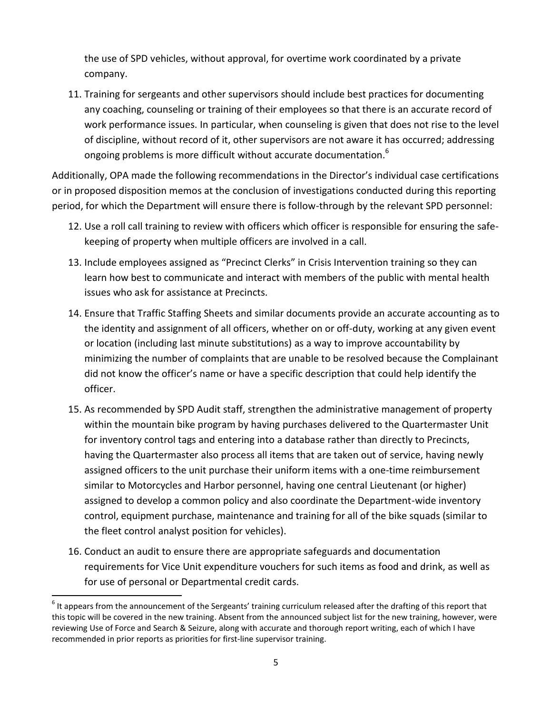the use of SPD vehicles, without approval, for overtime work coordinated by a private company.

11. Training for sergeants and other supervisors should include best practices for documenting any coaching, counseling or training of their employees so that there is an accurate record of work performance issues. In particular, when counseling is given that does not rise to the level of discipline, without record of it, other supervisors are not aware it has occurred; addressing ongoing problems is more difficult without accurate documentation.<sup>6</sup>

Additionally, OPA made the following recommendations in the Director's individual case certifications or in proposed disposition memos at the conclusion of investigations conducted during this reporting period, for which the Department will ensure there is follow-through by the relevant SPD personnel:

- 12. Use a roll call training to review with officers which officer is responsible for ensuring the safekeeping of property when multiple officers are involved in a call.
- 13. Include employees assigned as "Precinct Clerks" in Crisis Intervention training so they can learn how best to communicate and interact with members of the public with mental health issues who ask for assistance at Precincts.
- 14. Ensure that Traffic Staffing Sheets and similar documents provide an accurate accounting as to the identity and assignment of all officers, whether on or off-duty, working at any given event or location (including last minute substitutions) as a way to improve accountability by minimizing the number of complaints that are unable to be resolved because the Complainant did not know the officer's name or have a specific description that could help identify the officer.
- 15. As recommended by SPD Audit staff, strengthen the administrative management of property within the mountain bike program by having purchases delivered to the Quartermaster Unit for inventory control tags and entering into a database rather than directly to Precincts, having the Quartermaster also process all items that are taken out of service, having newly assigned officers to the unit purchase their uniform items with a one-time reimbursement similar to Motorcycles and Harbor personnel, having one central Lieutenant (or higher) assigned to develop a common policy and also coordinate the Department-wide inventory control, equipment purchase, maintenance and training for all of the bike squads (similar to the fleet control analyst position for vehicles).
- 16. Conduct an audit to ensure there are appropriate safeguards and documentation requirements for Vice Unit expenditure vouchers for such items as food and drink, as well as for use of personal or Departmental credit cards.

 $^6$  It appears from the announcement of the Sergeants' training curriculum released after the drafting of this report that this topic will be covered in the new training. Absent from the announced subject list for the new training, however, were reviewing Use of Force and Search & Seizure, along with accurate and thorough report writing, each of which I have recommended in prior reports as priorities for first-line supervisor training.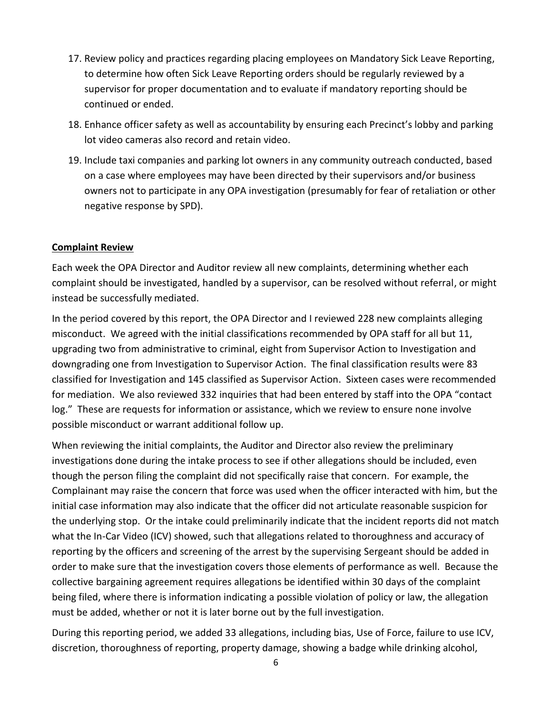- 17. Review policy and practices regarding placing employees on Mandatory Sick Leave Reporting, to determine how often Sick Leave Reporting orders should be regularly reviewed by a supervisor for proper documentation and to evaluate if mandatory reporting should be continued or ended.
- 18. Enhance officer safety as well as accountability by ensuring each Precinct's lobby and parking lot video cameras also record and retain video.
- 19. Include taxi companies and parking lot owners in any community outreach conducted, based on a case where employees may have been directed by their supervisors and/or business owners not to participate in any OPA investigation (presumably for fear of retaliation or other negative response by SPD).

#### **Complaint Review**

Each week the OPA Director and Auditor review all new complaints, determining whether each complaint should be investigated, handled by a supervisor, can be resolved without referral, or might instead be successfully mediated.

In the period covered by this report, the OPA Director and I reviewed 228 new complaints alleging misconduct. We agreed with the initial classifications recommended by OPA staff for all but 11, upgrading two from administrative to criminal, eight from Supervisor Action to Investigation and downgrading one from Investigation to Supervisor Action. The final classification results were 83 classified for Investigation and 145 classified as Supervisor Action. Sixteen cases were recommended for mediation. We also reviewed 332 inquiries that had been entered by staff into the OPA "contact log." These are requests for information or assistance, which we review to ensure none involve possible misconduct or warrant additional follow up.

When reviewing the initial complaints, the Auditor and Director also review the preliminary investigations done during the intake process to see if other allegations should be included, even though the person filing the complaint did not specifically raise that concern. For example, the Complainant may raise the concern that force was used when the officer interacted with him, but the initial case information may also indicate that the officer did not articulate reasonable suspicion for the underlying stop. Or the intake could preliminarily indicate that the incident reports did not match what the In-Car Video (ICV) showed, such that allegations related to thoroughness and accuracy of reporting by the officers and screening of the arrest by the supervising Sergeant should be added in order to make sure that the investigation covers those elements of performance as well. Because the collective bargaining agreement requires allegations be identified within 30 days of the complaint being filed, where there is information indicating a possible violation of policy or law, the allegation must be added, whether or not it is later borne out by the full investigation.

During this reporting period, we added 33 allegations, including bias, Use of Force, failure to use ICV, discretion, thoroughness of reporting, property damage, showing a badge while drinking alcohol,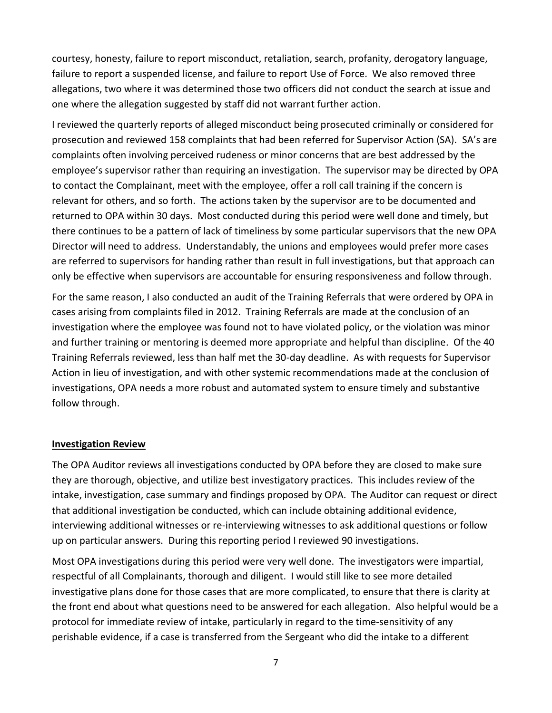courtesy, honesty, failure to report misconduct, retaliation, search, profanity, derogatory language, failure to report a suspended license, and failure to report Use of Force. We also removed three allegations, two where it was determined those two officers did not conduct the search at issue and one where the allegation suggested by staff did not warrant further action.

I reviewed the quarterly reports of alleged misconduct being prosecuted criminally or considered for prosecution and reviewed 158 complaints that had been referred for Supervisor Action (SA). SA's are complaints often involving perceived rudeness or minor concerns that are best addressed by the employee's supervisor rather than requiring an investigation. The supervisor may be directed by OPA to contact the Complainant, meet with the employee, offer a roll call training if the concern is relevant for others, and so forth. The actions taken by the supervisor are to be documented and returned to OPA within 30 days. Most conducted during this period were well done and timely, but there continues to be a pattern of lack of timeliness by some particular supervisors that the new OPA Director will need to address. Understandably, the unions and employees would prefer more cases are referred to supervisors for handing rather than result in full investigations, but that approach can only be effective when supervisors are accountable for ensuring responsiveness and follow through.

For the same reason, I also conducted an audit of the Training Referrals that were ordered by OPA in cases arising from complaints filed in 2012. Training Referrals are made at the conclusion of an investigation where the employee was found not to have violated policy, or the violation was minor and further training or mentoring is deemed more appropriate and helpful than discipline. Of the 40 Training Referrals reviewed, less than half met the 30-day deadline. As with requests for Supervisor Action in lieu of investigation, and with other systemic recommendations made at the conclusion of investigations, OPA needs a more robust and automated system to ensure timely and substantive follow through.

#### **Investigation Review**

The OPA Auditor reviews all investigations conducted by OPA before they are closed to make sure they are thorough, objective, and utilize best investigatory practices. This includes review of the intake, investigation, case summary and findings proposed by OPA. The Auditor can request or direct that additional investigation be conducted, which can include obtaining additional evidence, interviewing additional witnesses or re-interviewing witnesses to ask additional questions or follow up on particular answers. During this reporting period I reviewed 90 investigations.

Most OPA investigations during this period were very well done. The investigators were impartial, respectful of all Complainants, thorough and diligent. I would still like to see more detailed investigative plans done for those cases that are more complicated, to ensure that there is clarity at the front end about what questions need to be answered for each allegation. Also helpful would be a protocol for immediate review of intake, particularly in regard to the time-sensitivity of any perishable evidence, if a case is transferred from the Sergeant who did the intake to a different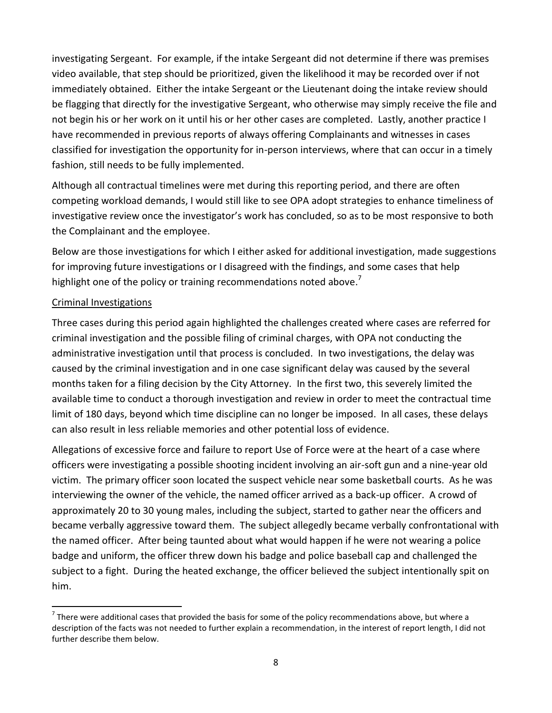investigating Sergeant. For example, if the intake Sergeant did not determine if there was premises video available, that step should be prioritized, given the likelihood it may be recorded over if not immediately obtained. Either the intake Sergeant or the Lieutenant doing the intake review should be flagging that directly for the investigative Sergeant, who otherwise may simply receive the file and not begin his or her work on it until his or her other cases are completed. Lastly, another practice I have recommended in previous reports of always offering Complainants and witnesses in cases classified for investigation the opportunity for in-person interviews, where that can occur in a timely fashion, still needs to be fully implemented.

Although all contractual timelines were met during this reporting period, and there are often competing workload demands, I would still like to see OPA adopt strategies to enhance timeliness of investigative review once the investigator's work has concluded, so as to be most responsive to both the Complainant and the employee.

Below are those investigations for which I either asked for additional investigation, made suggestions for improving future investigations or I disagreed with the findings, and some cases that help highlight one of the policy or training recommendations noted above.<sup>7</sup>

## Criminal Investigations

 $\ddot{\phantom{a}}$ 

Three cases during this period again highlighted the challenges created where cases are referred for criminal investigation and the possible filing of criminal charges, with OPA not conducting the administrative investigation until that process is concluded. In two investigations, the delay was caused by the criminal investigation and in one case significant delay was caused by the several months taken for a filing decision by the City Attorney. In the first two, this severely limited the available time to conduct a thorough investigation and review in order to meet the contractual time limit of 180 days, beyond which time discipline can no longer be imposed. In all cases, these delays can also result in less reliable memories and other potential loss of evidence.

Allegations of excessive force and failure to report Use of Force were at the heart of a case where officers were investigating a possible shooting incident involving an air-soft gun and a nine-year old victim. The primary officer soon located the suspect vehicle near some basketball courts. As he was interviewing the owner of the vehicle, the named officer arrived as a back-up officer. A crowd of approximately 20 to 30 young males, including the subject, started to gather near the officers and became verbally aggressive toward them. The subject allegedly became verbally confrontational with the named officer. After being taunted about what would happen if he were not wearing a police badge and uniform, the officer threw down his badge and police baseball cap and challenged the subject to a fight. During the heated exchange, the officer believed the subject intentionally spit on him.

 $^7$  There were additional cases that provided the basis for some of the policy recommendations above, but where a description of the facts was not needed to further explain a recommendation, in the interest of report length, I did not further describe them below.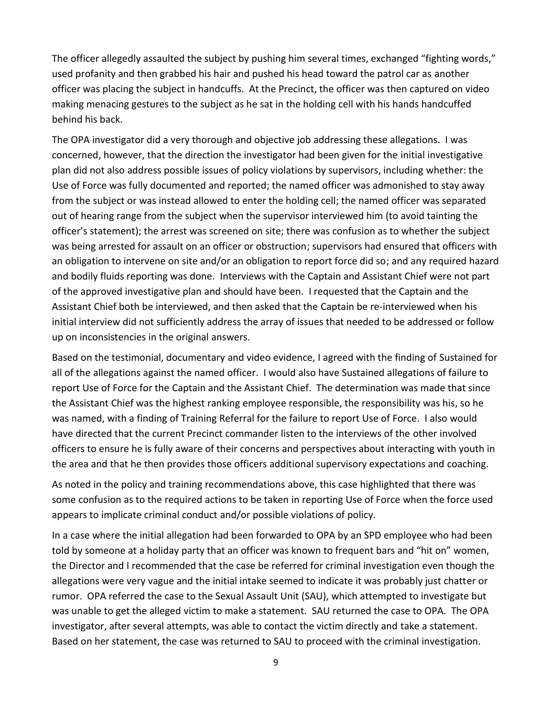The officer allegedly assaulted the subject by pushing him several times, exchanged "fighting words," used profanity and then grabbed his hair and pushed his head toward the patrol car as another officer was placing the subject in handcuffs. At the Precinct, the officer was then captured on video making menacing gestures to the subject as he sat in the holding cell with his hands handcuffed behind his back.

The OPA investigator did a very thorough and objective job addressing these allegations. I was concerned, however, that the direction the investigator had been given for the initial investigative plan did not also address possible issues of policy violations by supervisors, including whether: the Use of Force was fully documented and reported; the named officer was admonished to stay away from the subject or was instead allowed to enter the holding cell; the named officer was separated out of hearing range from the subject when the supervisor interviewed him (to avoid tainting the officer's statement); the arrest was screened on site; there was confusion as to whether the subject was being arrested for assault on an officer or obstruction; supervisors had ensured that officers with an obligation to intervene on site and/or an obligation to report force did so; and any required hazard and bodily fluids reporting was done. Interviews with the Captain and Assistant Chief were not part of the approved investigative plan and should have been. I requested that the Captain and the Assistant Chief both be interviewed, and then asked that the Captain be re-interviewed when his initial interview did not sufficiently address the array of issues that needed to be addressed or follow up on inconsistencies in the original answers.

Based on the testimonial, documentary and video evidence, I agreed with the finding of Sustained for all of the allegations against the named officer. I would also have Sustained allegations of failure to report Use of Force for the Captain and the Assistant Chief. The determination was made that since the Assistant Chief was the highest ranking employee responsible, the responsibility was his, so he was named, with a finding of Training Referral for the failure to report Use of Force. I also would have directed that the current Precinct commander listen to the interviews of the other involved officers to ensure he is fully aware of their concerns and perspectives about interacting with youth in the area and that he then provides those officers additional supervisory expectations and coaching.

As noted in the policy and training recommendations above, this case highlighted that there was some confusion as to the required actions to be taken in reporting Use of Force when the force used appears to implicate criminal conduct and/or possible violations of policy.

In a case where the initial allegation had been forwarded to OPA by an SPD employee who had been told by someone at a holiday party that an officer was known to frequent bars and "hit on" women, the Director and I recommended that the case be referred for criminal investigation even though the allegations were very vague and the initial intake seemed to indicate it was probably just chatter or rumor. OPA referred the case to the Sexual Assault Unit (SAU), which attempted to investigate but was unable to get the alleged victim to make a statement. SAU returned the case to OPA. The OPA investigator, after several attempts, was able to contact the victim directly and take a statement. Based on her statement, the case was returned to SAU to proceed with the criminal investigation.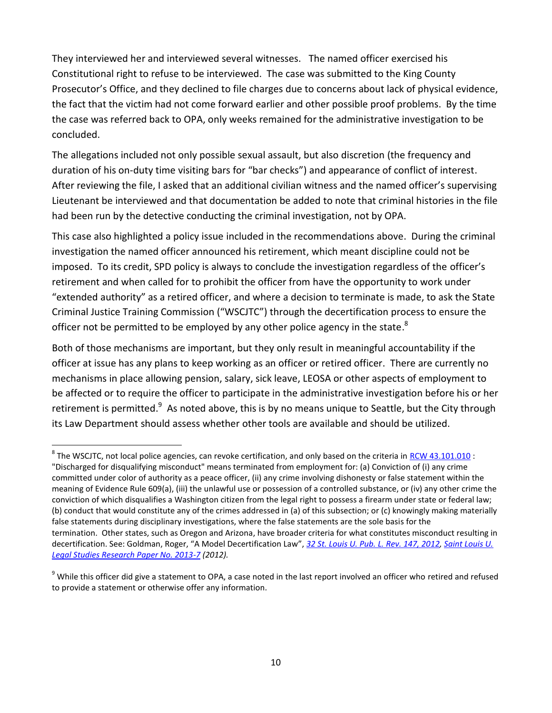They interviewed her and interviewed several witnesses. The named officer exercised his Constitutional right to refuse to be interviewed. The case was submitted to the King County Prosecutor's Office, and they declined to file charges due to concerns about lack of physical evidence, the fact that the victim had not come forward earlier and other possible proof problems. By the time the case was referred back to OPA, only weeks remained for the administrative investigation to be concluded.

The allegations included not only possible sexual assault, but also discretion (the frequency and duration of his on-duty time visiting bars for "bar checks") and appearance of conflict of interest. After reviewing the file, I asked that an additional civilian witness and the named officer's supervising Lieutenant be interviewed and that documentation be added to note that criminal histories in the file had been run by the detective conducting the criminal investigation, not by OPA.

This case also highlighted a policy issue included in the recommendations above. During the criminal investigation the named officer announced his retirement, which meant discipline could not be imposed. To its credit, SPD policy is always to conclude the investigation regardless of the officer's retirement and when called for to prohibit the officer from have the opportunity to work under "extended authority" as a retired officer, and where a decision to terminate is made, to ask the State Criminal Justice Training Commission ("WSCJTC") through the decertification process to ensure the officer not be permitted to be employed by any other police agency in the state.<sup>8</sup>

Both of those mechanisms are important, but they only result in meaningful accountability if the officer at issue has any plans to keep working as an officer or retired officer. There are currently no mechanisms in place allowing pension, salary, sick leave, LEOSA or other aspects of employment to be affected or to require the officer to participate in the administrative investigation before his or her retirement is permitted.<sup>9</sup> As noted above, this is by no means unique to Seattle, but the City through its Law Department should assess whether other tools are available and should be utilized.

 $^8$  The WSCJTC, not local police agencies, can revoke certification, and only based on the criteria in  $RCW$  43.101.010 : "Discharged for disqualifying misconduct" means terminated from employment for: (a) Conviction of (i) any crime committed under color of authority as a peace officer, (ii) any crime involving dishonesty or false statement within the meaning of Evidence Rule 609(a), (iii) the unlawful use or possession of a controlled substance, or (iv) any other crime the conviction of which disqualifies a Washington citizen from the legal right to possess a firearm under state or federal law; (b) conduct that would constitute any of the crimes addressed in (a) of this subsection; or (c) knowingly making materially false statements during disciplinary investigations, where the false statements are the sole basis for the termination. Other states, such as Oregon and Arizona, have broader criteria for what constitutes misconduct resulting in decertification. See: Goldman, Roger, "A Model Decertification Law", *[32 St. Louis U. Pub. L. Rev. 147, 2012, Saint Louis U.](http://papers.ssrn.com/sol3/papers.cfm?abstract_id=2215090##)  [Legal Studies Research Paper No. 2013-7](http://papers.ssrn.com/sol3/papers.cfm?abstract_id=2215090##) (2012).*

<sup>&</sup>lt;sup>9</sup> While this officer did give a statement to OPA, a case noted in the last report involved an officer who retired and refused to provide a statement or otherwise offer any information.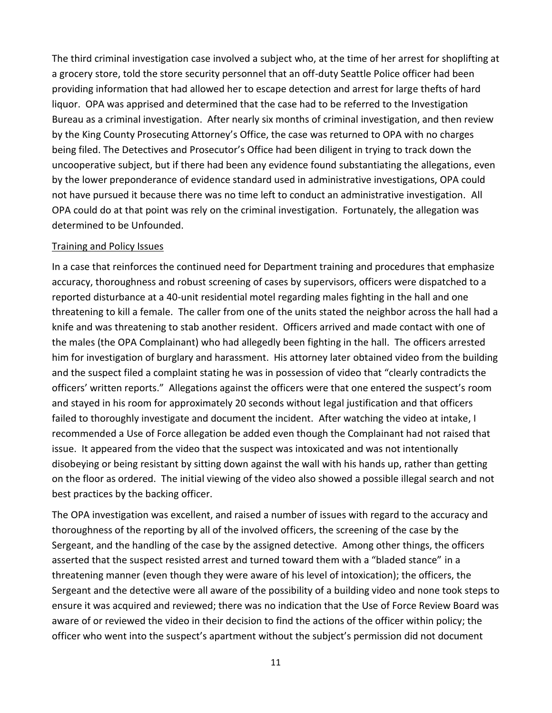The third criminal investigation case involved a subject who, at the time of her arrest for shoplifting at a grocery store, told the store security personnel that an off-duty Seattle Police officer had been providing information that had allowed her to escape detection and arrest for large thefts of hard liquor. OPA was apprised and determined that the case had to be referred to the Investigation Bureau as a criminal investigation. After nearly six months of criminal investigation, and then review by the King County Prosecuting Attorney's Office, the case was returned to OPA with no charges being filed. The Detectives and Prosecutor's Office had been diligent in trying to track down the uncooperative subject, but if there had been any evidence found substantiating the allegations, even by the lower preponderance of evidence standard used in administrative investigations, OPA could not have pursued it because there was no time left to conduct an administrative investigation. All OPA could do at that point was rely on the criminal investigation. Fortunately, the allegation was determined to be Unfounded.

#### Training and Policy Issues

In a case that reinforces the continued need for Department training and procedures that emphasize accuracy, thoroughness and robust screening of cases by supervisors, officers were dispatched to a reported disturbance at a 40-unit residential motel regarding males fighting in the hall and one threatening to kill a female. The caller from one of the units stated the neighbor across the hall had a knife and was threatening to stab another resident. Officers arrived and made contact with one of the males (the OPA Complainant) who had allegedly been fighting in the hall. The officers arrested him for investigation of burglary and harassment. His attorney later obtained video from the building and the suspect filed a complaint stating he was in possession of video that "clearly contradicts the officers' written reports." Allegations against the officers were that one entered the suspect's room and stayed in his room for approximately 20 seconds without legal justification and that officers failed to thoroughly investigate and document the incident. After watching the video at intake, I recommended a Use of Force allegation be added even though the Complainant had not raised that issue. It appeared from the video that the suspect was intoxicated and was not intentionally disobeying or being resistant by sitting down against the wall with his hands up, rather than getting on the floor as ordered. The initial viewing of the video also showed a possible illegal search and not best practices by the backing officer.

The OPA investigation was excellent, and raised a number of issues with regard to the accuracy and thoroughness of the reporting by all of the involved officers, the screening of the case by the Sergeant, and the handling of the case by the assigned detective. Among other things, the officers asserted that the suspect resisted arrest and turned toward them with a "bladed stance" in a threatening manner (even though they were aware of his level of intoxication); the officers, the Sergeant and the detective were all aware of the possibility of a building video and none took steps to ensure it was acquired and reviewed; there was no indication that the Use of Force Review Board was aware of or reviewed the video in their decision to find the actions of the officer within policy; the officer who went into the suspect's apartment without the subject's permission did not document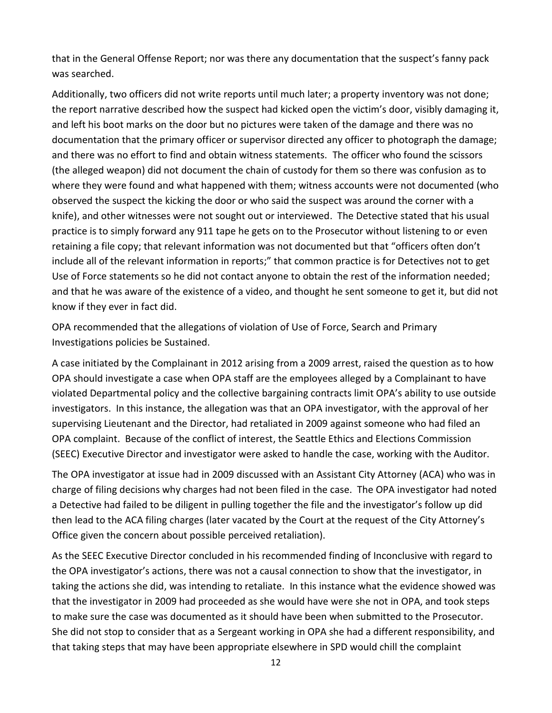that in the General Offense Report; nor was there any documentation that the suspect's fanny pack was searched.

Additionally, two officers did not write reports until much later; a property inventory was not done; the report narrative described how the suspect had kicked open the victim's door, visibly damaging it, and left his boot marks on the door but no pictures were taken of the damage and there was no documentation that the primary officer or supervisor directed any officer to photograph the damage; and there was no effort to find and obtain witness statements. The officer who found the scissors (the alleged weapon) did not document the chain of custody for them so there was confusion as to where they were found and what happened with them; witness accounts were not documented (who observed the suspect the kicking the door or who said the suspect was around the corner with a knife), and other witnesses were not sought out or interviewed. The Detective stated that his usual practice is to simply forward any 911 tape he gets on to the Prosecutor without listening to or even retaining a file copy; that relevant information was not documented but that "officers often don't include all of the relevant information in reports;" that common practice is for Detectives not to get Use of Force statements so he did not contact anyone to obtain the rest of the information needed; and that he was aware of the existence of a video, and thought he sent someone to get it, but did not know if they ever in fact did.

OPA recommended that the allegations of violation of Use of Force, Search and Primary Investigations policies be Sustained.

A case initiated by the Complainant in 2012 arising from a 2009 arrest, raised the question as to how OPA should investigate a case when OPA staff are the employees alleged by a Complainant to have violated Departmental policy and the collective bargaining contracts limit OPA's ability to use outside investigators. In this instance, the allegation was that an OPA investigator, with the approval of her supervising Lieutenant and the Director, had retaliated in 2009 against someone who had filed an OPA complaint. Because of the conflict of interest, the Seattle Ethics and Elections Commission (SEEC) Executive Director and investigator were asked to handle the case, working with the Auditor.

The OPA investigator at issue had in 2009 discussed with an Assistant City Attorney (ACA) who was in charge of filing decisions why charges had not been filed in the case. The OPA investigator had noted a Detective had failed to be diligent in pulling together the file and the investigator's follow up did then lead to the ACA filing charges (later vacated by the Court at the request of the City Attorney's Office given the concern about possible perceived retaliation).

As the SEEC Executive Director concluded in his recommended finding of Inconclusive with regard to the OPA investigator's actions, there was not a causal connection to show that the investigator, in taking the actions she did, was intending to retaliate. In this instance what the evidence showed was that the investigator in 2009 had proceeded as she would have were she not in OPA, and took steps to make sure the case was documented as it should have been when submitted to the Prosecutor. She did not stop to consider that as a Sergeant working in OPA she had a different responsibility, and that taking steps that may have been appropriate elsewhere in SPD would chill the complaint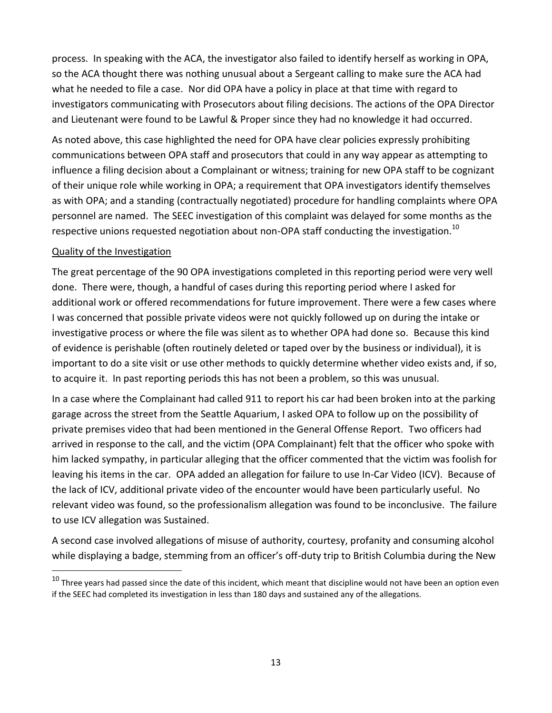process. In speaking with the ACA, the investigator also failed to identify herself as working in OPA, so the ACA thought there was nothing unusual about a Sergeant calling to make sure the ACA had what he needed to file a case. Nor did OPA have a policy in place at that time with regard to investigators communicating with Prosecutors about filing decisions. The actions of the OPA Director and Lieutenant were found to be Lawful & Proper since they had no knowledge it had occurred.

As noted above, this case highlighted the need for OPA have clear policies expressly prohibiting communications between OPA staff and prosecutors that could in any way appear as attempting to influence a filing decision about a Complainant or witness; training for new OPA staff to be cognizant of their unique role while working in OPA; a requirement that OPA investigators identify themselves as with OPA; and a standing (contractually negotiated) procedure for handling complaints where OPA personnel are named. The SEEC investigation of this complaint was delayed for some months as the respective unions requested negotiation about non-OPA staff conducting the investigation.<sup>10</sup>

## Quality of the Investigation

 $\overline{a}$ 

The great percentage of the 90 OPA investigations completed in this reporting period were very well done. There were, though, a handful of cases during this reporting period where I asked for additional work or offered recommendations for future improvement. There were a few cases where I was concerned that possible private videos were not quickly followed up on during the intake or investigative process or where the file was silent as to whether OPA had done so. Because this kind of evidence is perishable (often routinely deleted or taped over by the business or individual), it is important to do a site visit or use other methods to quickly determine whether video exists and, if so, to acquire it. In past reporting periods this has not been a problem, so this was unusual.

In a case where the Complainant had called 911 to report his car had been broken into at the parking garage across the street from the Seattle Aquarium, I asked OPA to follow up on the possibility of private premises video that had been mentioned in the General Offense Report. Two officers had arrived in response to the call, and the victim (OPA Complainant) felt that the officer who spoke with him lacked sympathy, in particular alleging that the officer commented that the victim was foolish for leaving his items in the car. OPA added an allegation for failure to use In-Car Video (ICV). Because of the lack of ICV, additional private video of the encounter would have been particularly useful. No relevant video was found, so the professionalism allegation was found to be inconclusive. The failure to use ICV allegation was Sustained.

A second case involved allegations of misuse of authority, courtesy, profanity and consuming alcohol while displaying a badge, stemming from an officer's off-duty trip to British Columbia during the New

 $^{10}$  Three years had passed since the date of this incident, which meant that discipline would not have been an option even if the SEEC had completed its investigation in less than 180 days and sustained any of the allegations.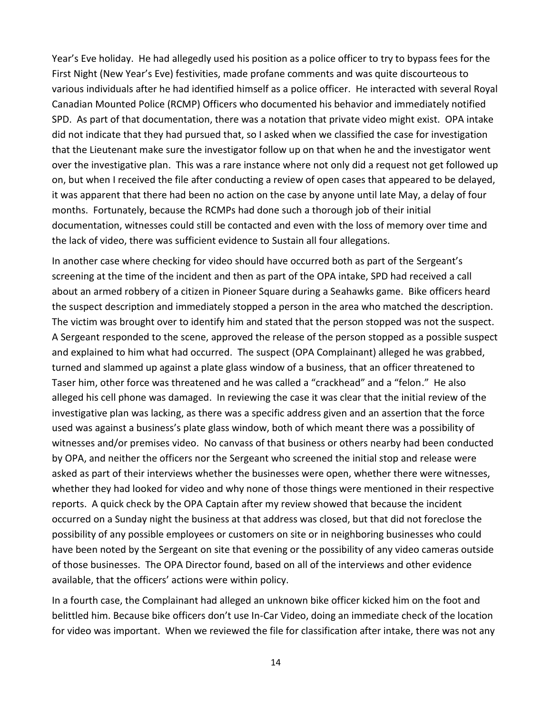Year's Eve holiday. He had allegedly used his position as a police officer to try to bypass fees for the First Night (New Year's Eve) festivities, made profane comments and was quite discourteous to various individuals after he had identified himself as a police officer. He interacted with several Royal Canadian Mounted Police (RCMP) Officers who documented his behavior and immediately notified SPD. As part of that documentation, there was a notation that private video might exist. OPA intake did not indicate that they had pursued that, so I asked when we classified the case for investigation that the Lieutenant make sure the investigator follow up on that when he and the investigator went over the investigative plan. This was a rare instance where not only did a request not get followed up on, but when I received the file after conducting a review of open cases that appeared to be delayed, it was apparent that there had been no action on the case by anyone until late May, a delay of four months. Fortunately, because the RCMPs had done such a thorough job of their initial documentation, witnesses could still be contacted and even with the loss of memory over time and the lack of video, there was sufficient evidence to Sustain all four allegations.

In another case where checking for video should have occurred both as part of the Sergeant's screening at the time of the incident and then as part of the OPA intake, SPD had received a call about an armed robbery of a citizen in Pioneer Square during a Seahawks game. Bike officers heard the suspect description and immediately stopped a person in the area who matched the description. The victim was brought over to identify him and stated that the person stopped was not the suspect. A Sergeant responded to the scene, approved the release of the person stopped as a possible suspect and explained to him what had occurred. The suspect (OPA Complainant) alleged he was grabbed, turned and slammed up against a plate glass window of a business, that an officer threatened to Taser him, other force was threatened and he was called a "crackhead" and a "felon." He also alleged his cell phone was damaged. In reviewing the case it was clear that the initial review of the investigative plan was lacking, as there was a specific address given and an assertion that the force used was against a business's plate glass window, both of which meant there was a possibility of witnesses and/or premises video. No canvass of that business or others nearby had been conducted by OPA, and neither the officers nor the Sergeant who screened the initial stop and release were asked as part of their interviews whether the businesses were open, whether there were witnesses, whether they had looked for video and why none of those things were mentioned in their respective reports. A quick check by the OPA Captain after my review showed that because the incident occurred on a Sunday night the business at that address was closed, but that did not foreclose the possibility of any possible employees or customers on site or in neighboring businesses who could have been noted by the Sergeant on site that evening or the possibility of any video cameras outside of those businesses. The OPA Director found, based on all of the interviews and other evidence available, that the officers' actions were within policy.

In a fourth case, the Complainant had alleged an unknown bike officer kicked him on the foot and belittled him. Because bike officers don't use In-Car Video, doing an immediate check of the location for video was important. When we reviewed the file for classification after intake, there was not any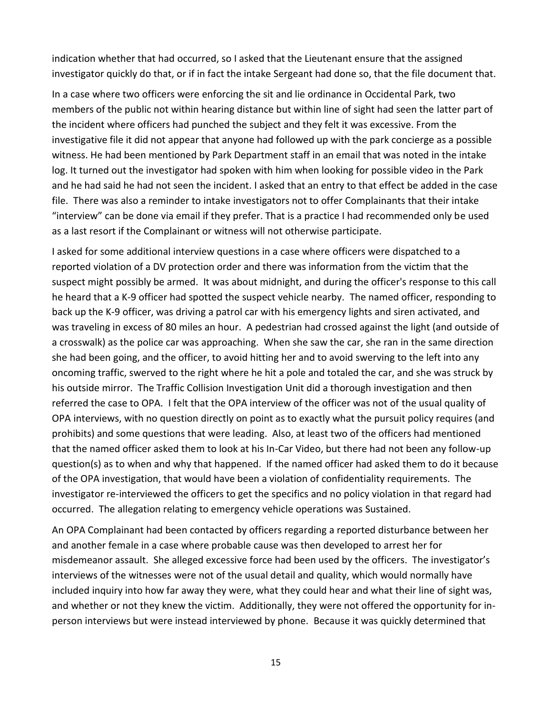indication whether that had occurred, so I asked that the Lieutenant ensure that the assigned investigator quickly do that, or if in fact the intake Sergeant had done so, that the file document that.

In a case where two officers were enforcing the sit and lie ordinance in Occidental Park, two members of the public not within hearing distance but within line of sight had seen the latter part of the incident where officers had punched the subject and they felt it was excessive. From the investigative file it did not appear that anyone had followed up with the park concierge as a possible witness. He had been mentioned by Park Department staff in an email that was noted in the intake log. It turned out the investigator had spoken with him when looking for possible video in the Park and he had said he had not seen the incident. I asked that an entry to that effect be added in the case file. There was also a reminder to intake investigators not to offer Complainants that their intake "interview" can be done via email if they prefer. That is a practice I had recommended only be used as a last resort if the Complainant or witness will not otherwise participate.

I asked for some additional interview questions in a case where officers were dispatched to a reported violation of a DV protection order and there was information from the victim that the suspect might possibly be armed. It was about midnight, and during the officer's response to this call he heard that a K-9 officer had spotted the suspect vehicle nearby. The named officer, responding to back up the K-9 officer, was driving a patrol car with his emergency lights and siren activated, and was traveling in excess of 80 miles an hour. A pedestrian had crossed against the light (and outside of a crosswalk) as the police car was approaching. When she saw the car, she ran in the same direction she had been going, and the officer, to avoid hitting her and to avoid swerving to the left into any oncoming traffic, swerved to the right where he hit a pole and totaled the car, and she was struck by his outside mirror. The Traffic Collision Investigation Unit did a thorough investigation and then referred the case to OPA. I felt that the OPA interview of the officer was not of the usual quality of OPA interviews, with no question directly on point as to exactly what the pursuit policy requires (and prohibits) and some questions that were leading. Also, at least two of the officers had mentioned that the named officer asked them to look at his In-Car Video, but there had not been any follow-up question(s) as to when and why that happened. If the named officer had asked them to do it because of the OPA investigation, that would have been a violation of confidentiality requirements. The investigator re-interviewed the officers to get the specifics and no policy violation in that regard had occurred. The allegation relating to emergency vehicle operations was Sustained.

An OPA Complainant had been contacted by officers regarding a reported disturbance between her and another female in a case where probable cause was then developed to arrest her for misdemeanor assault. She alleged excessive force had been used by the officers. The investigator's interviews of the witnesses were not of the usual detail and quality, which would normally have included inquiry into how far away they were, what they could hear and what their line of sight was, and whether or not they knew the victim. Additionally, they were not offered the opportunity for inperson interviews but were instead interviewed by phone. Because it was quickly determined that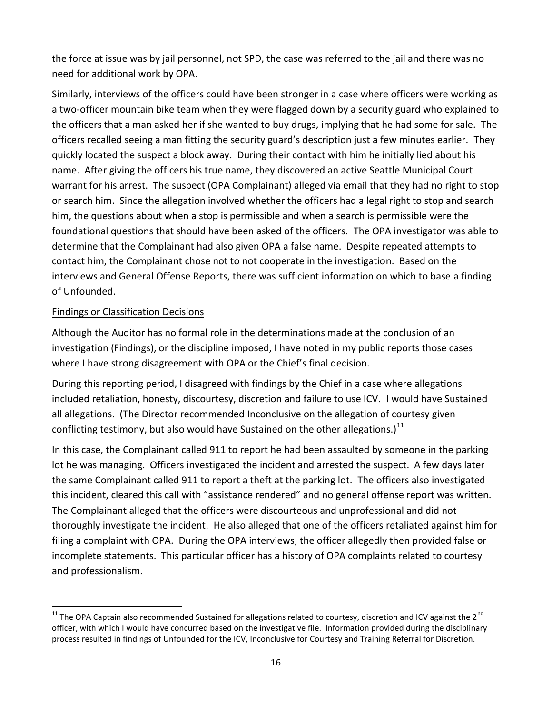the force at issue was by jail personnel, not SPD, the case was referred to the jail and there was no need for additional work by OPA.

Similarly, interviews of the officers could have been stronger in a case where officers were working as a two-officer mountain bike team when they were flagged down by a security guard who explained to the officers that a man asked her if she wanted to buy drugs, implying that he had some for sale. The officers recalled seeing a man fitting the security guard's description just a few minutes earlier. They quickly located the suspect a block away. During their contact with him he initially lied about his name. After giving the officers his true name, they discovered an active Seattle Municipal Court warrant for his arrest. The suspect (OPA Complainant) alleged via email that they had no right to stop or search him. Since the allegation involved whether the officers had a legal right to stop and search him, the questions about when a stop is permissible and when a search is permissible were the foundational questions that should have been asked of the officers. The OPA investigator was able to determine that the Complainant had also given OPA a false name. Despite repeated attempts to contact him, the Complainant chose not to not cooperate in the investigation. Based on the interviews and General Offense Reports, there was sufficient information on which to base a finding of Unfounded.

## Findings or Classification Decisions

 $\ddot{\phantom{a}}$ 

Although the Auditor has no formal role in the determinations made at the conclusion of an investigation (Findings), or the discipline imposed, I have noted in my public reports those cases where I have strong disagreement with OPA or the Chief's final decision.

During this reporting period, I disagreed with findings by the Chief in a case where allegations included retaliation, honesty, discourtesy, discretion and failure to use ICV. I would have Sustained all allegations. (The Director recommended Inconclusive on the allegation of courtesy given conflicting testimony, but also would have Sustained on the other allegations.)<sup>11</sup>

In this case, the Complainant called 911 to report he had been assaulted by someone in the parking lot he was managing. Officers investigated the incident and arrested the suspect. A few days later the same Complainant called 911 to report a theft at the parking lot. The officers also investigated this incident, cleared this call with "assistance rendered" and no general offense report was written. The Complainant alleged that the officers were discourteous and unprofessional and did not thoroughly investigate the incident. He also alleged that one of the officers retaliated against him for filing a complaint with OPA. During the OPA interviews, the officer allegedly then provided false or incomplete statements. This particular officer has a history of OPA complaints related to courtesy and professionalism.

 $11$  The OPA Captain also recommended Sustained for allegations related to courtesy, discretion and ICV against the 2<sup>nd</sup> officer, with which I would have concurred based on the investigative file. Information provided during the disciplinary process resulted in findings of Unfounded for the ICV, Inconclusive for Courtesy and Training Referral for Discretion.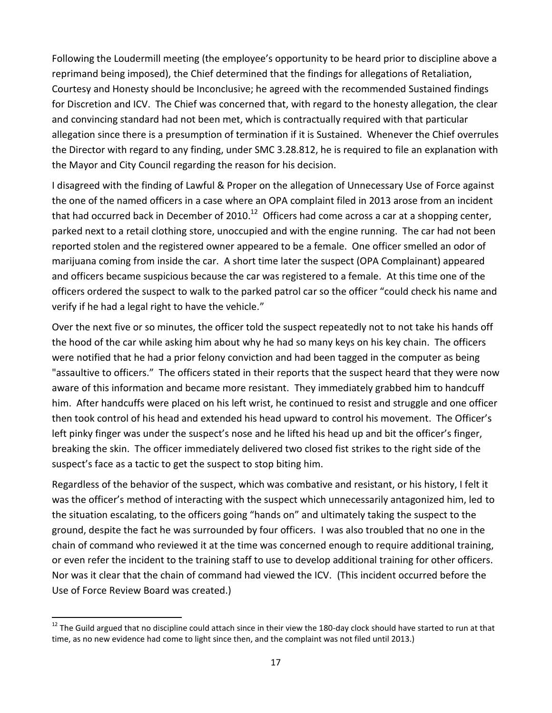Following the Loudermill meeting (the employee's opportunity to be heard prior to discipline above a reprimand being imposed), the Chief determined that the findings for allegations of Retaliation, Courtesy and Honesty should be Inconclusive; he agreed with the recommended Sustained findings for Discretion and ICV. The Chief was concerned that, with regard to the honesty allegation, the clear and convincing standard had not been met, which is contractually required with that particular allegation since there is a presumption of termination if it is Sustained. Whenever the Chief overrules the Director with regard to any finding, under SMC 3.28.812, he is required to file an explanation with the Mayor and City Council regarding the reason for his decision.

I disagreed with the finding of Lawful & Proper on the allegation of Unnecessary Use of Force against the one of the named officers in a case where an OPA complaint filed in 2013 arose from an incident that had occurred back in December of 2010.<sup>12</sup> Officers had come across a car at a shopping center, parked next to a retail clothing store, unoccupied and with the engine running. The car had not been reported stolen and the registered owner appeared to be a female. One officer smelled an odor of marijuana coming from inside the car. A short time later the suspect (OPA Complainant) appeared and officers became suspicious because the car was registered to a female. At this time one of the officers ordered the suspect to walk to the parked patrol car so the officer "could check his name and verify if he had a legal right to have the vehicle."

Over the next five or so minutes, the officer told the suspect repeatedly not to not take his hands off the hood of the car while asking him about why he had so many keys on his key chain. The officers were notified that he had a prior felony conviction and had been tagged in the computer as being "assaultive to officers." The officers stated in their reports that the suspect heard that they were now aware of this information and became more resistant. They immediately grabbed him to handcuff him. After handcuffs were placed on his left wrist, he continued to resist and struggle and one officer then took control of his head and extended his head upward to control his movement. The Officer's left pinky finger was under the suspect's nose and he lifted his head up and bit the officer's finger, breaking the skin. The officer immediately delivered two closed fist strikes to the right side of the suspect's face as a tactic to get the suspect to stop biting him.

Regardless of the behavior of the suspect, which was combative and resistant, or his history, I felt it was the officer's method of interacting with the suspect which unnecessarily antagonized him, led to the situation escalating, to the officers going "hands on" and ultimately taking the suspect to the ground, despite the fact he was surrounded by four officers. I was also troubled that no one in the chain of command who reviewed it at the time was concerned enough to require additional training, or even refer the incident to the training staff to use to develop additional training for other officers. Nor was it clear that the chain of command had viewed the ICV. (This incident occurred before the Use of Force Review Board was created.)

<sup>&</sup>lt;sup>12</sup> The Guild argued that no discipline could attach since in their view the 180-day clock should have started to run at that time, as no new evidence had come to light since then, and the complaint was not filed until 2013.)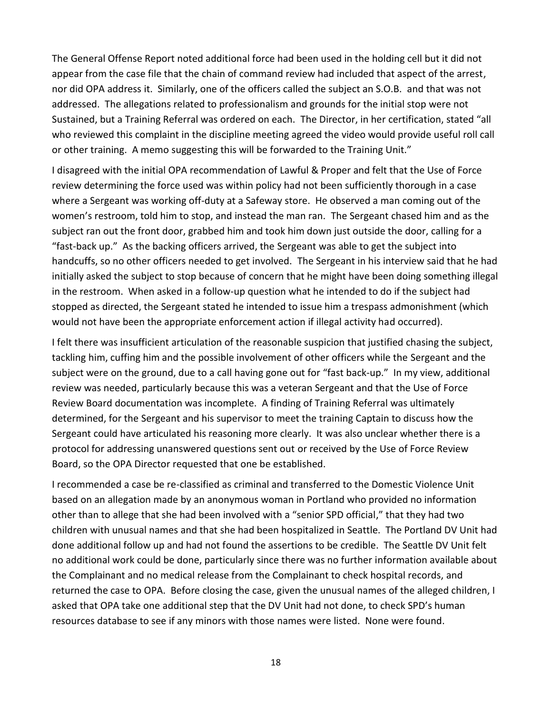The General Offense Report noted additional force had been used in the holding cell but it did not appear from the case file that the chain of command review had included that aspect of the arrest, nor did OPA address it. Similarly, one of the officers called the subject an S.O.B. and that was not addressed. The allegations related to professionalism and grounds for the initial stop were not Sustained, but a Training Referral was ordered on each. The Director, in her certification, stated "all who reviewed this complaint in the discipline meeting agreed the video would provide useful roll call or other training. A memo suggesting this will be forwarded to the Training Unit."

I disagreed with the initial OPA recommendation of Lawful & Proper and felt that the Use of Force review determining the force used was within policy had not been sufficiently thorough in a case where a Sergeant was working off-duty at a Safeway store. He observed a man coming out of the women's restroom, told him to stop, and instead the man ran. The Sergeant chased him and as the subject ran out the front door, grabbed him and took him down just outside the door, calling for a "fast-back up." As the backing officers arrived, the Sergeant was able to get the subject into handcuffs, so no other officers needed to get involved. The Sergeant in his interview said that he had initially asked the subject to stop because of concern that he might have been doing something illegal in the restroom. When asked in a follow-up question what he intended to do if the subject had stopped as directed, the Sergeant stated he intended to issue him a trespass admonishment (which would not have been the appropriate enforcement action if illegal activity had occurred).

I felt there was insufficient articulation of the reasonable suspicion that justified chasing the subject, tackling him, cuffing him and the possible involvement of other officers while the Sergeant and the subject were on the ground, due to a call having gone out for "fast back-up." In my view, additional review was needed, particularly because this was a veteran Sergeant and that the Use of Force Review Board documentation was incomplete. A finding of Training Referral was ultimately determined, for the Sergeant and his supervisor to meet the training Captain to discuss how the Sergeant could have articulated his reasoning more clearly. It was also unclear whether there is a protocol for addressing unanswered questions sent out or received by the Use of Force Review Board, so the OPA Director requested that one be established.

I recommended a case be re-classified as criminal and transferred to the Domestic Violence Unit based on an allegation made by an anonymous woman in Portland who provided no information other than to allege that she had been involved with a "senior SPD official," that they had two children with unusual names and that she had been hospitalized in Seattle. The Portland DV Unit had done additional follow up and had not found the assertions to be credible. The Seattle DV Unit felt no additional work could be done, particularly since there was no further information available about the Complainant and no medical release from the Complainant to check hospital records, and returned the case to OPA. Before closing the case, given the unusual names of the alleged children, I asked that OPA take one additional step that the DV Unit had not done, to check SPD's human resources database to see if any minors with those names were listed. None were found.